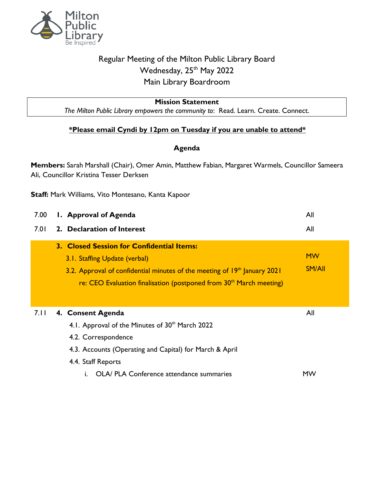

## Regular Meeting of the Milton Public Library Board Wednesday, 25<sup>th</sup> May 2022 Main Library Boardroom

## **Mission Statement**

*The Milton Public Library empowers the community to*: Read. Learn. Create. Connect.

## **\*Please email Cyndi by 12pm on Tuesday if you are unable to attend\***

## **Agenda**

**Members:** Sarah Marshall (Chair), Omer Amin, Matthew Fabian, Margaret Warmels, Councillor Sameera Ali, Councillor Kristina Tesser Derksen

**Staff:** Mark Williams, Vito Montesano, Kanta Kapoor

| 7.00 | 1. Approval of Agenda                                                                                                                                                                                                                                  | All                        |
|------|--------------------------------------------------------------------------------------------------------------------------------------------------------------------------------------------------------------------------------------------------------|----------------------------|
| 7.01 | 2. Declaration of Interest                                                                                                                                                                                                                             | All                        |
|      | 3. Closed Session for Confidential Items:<br>3.1. Staffing Update (verbal)<br>3.2. Approval of confidential minutes of the meeting of 19 <sup>th</sup> January 2021<br>re: CEO Evaluation finalisation (postponed from 30 <sup>th</sup> March meeting) | <b>MW</b><br><b>SM/All</b> |
| 7.11 | 4. Consent Agenda<br>4.1. Approval of the Minutes of 30 <sup>th</sup> March 2022<br>4.2. Correspondence<br>4.3. Accounts (Operating and Capital) for March & April<br>4.4. Staff Reports<br>OLA/ PLA Conference attendance summaries                   | All<br>MW                  |